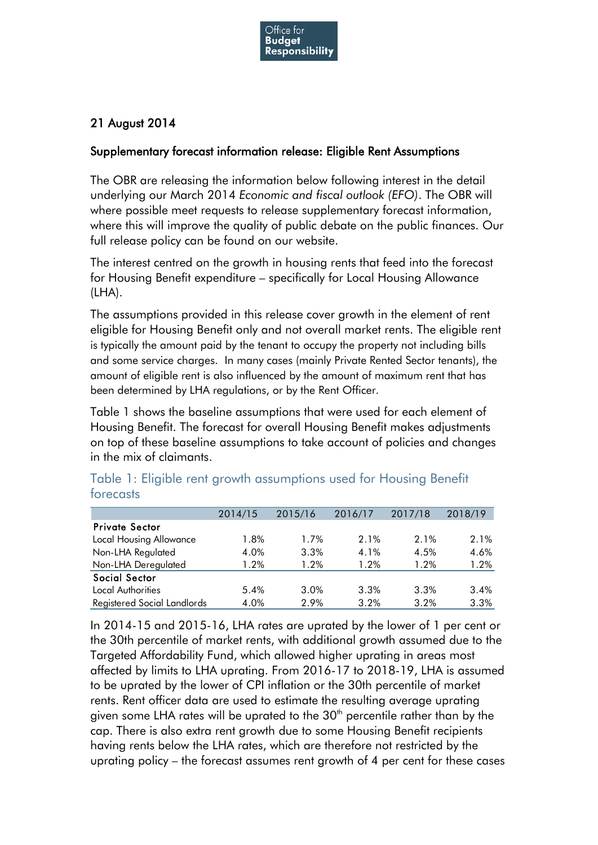

## 21 August 2014

## Supplementary forecast information release: Eligible Rent Assumptions

The OBR are releasing the information below following interest in the detail underlying our March 2014 *Economic and fiscal outlook (EFO)*. The OBR will where possible meet requests to release supplementary forecast information, where this will improve the quality of public debate on the public finances. Our full release policy can be found on our website.

The interest centred on the growth in housing rents that feed into the forecast for Housing Benefit expenditure – specifically for Local Housing Allowance (LHA).

The assumptions provided in this release cover growth in the element of rent eligible for Housing Benefit only and not overall market rents. The eligible rent is typically the amount paid by the tenant to occupy the property not including bills and some service charges. In many cases (mainly Private Rented Sector tenants), the amount of eligible rent is also influenced by the amount of maximum rent that has been determined by LHA regulations, or by the Rent Officer.

Table 1 shows the baseline assumptions that were used for each element of Housing Benefit. The forecast for overall Housing Benefit makes adjustments on top of these baseline assumptions to take account of policies and changes in the mix of claimants.

|                             | 2014/15 | 2015/16 | 2016/17 | 2017/18 | 2018/19 |
|-----------------------------|---------|---------|---------|---------|---------|
| <b>Private Sector</b>       |         |         |         |         |         |
| Local Housing Allowance     | 1.8%    | 1.7%    | 2.1%    | 2.1%    | 2.1%    |
| Non-LHA Regulated           | 4.0%    | 3.3%    | 4.1%    | 4.5%    | 4.6%    |
| Non-LHA Deregulated         | 1.2%    | 1.2%    | 1.2%    | 1.2%    | $1.2\%$ |
| Social Sector               |         |         |         |         |         |
| Local Authorities           | 5.4%    | 3.0%    | 3.3%    | 3.3%    | 3.4%    |
| Registered Social Landlords | 4.0%    | 2.9%    | 3.2%    | 3.2%    | 3.3%    |

Table 1: Eligible rent growth assumptions used for Housing Benefit forecasts

In 2014-15 and 2015-16, LHA rates are uprated by the lower of 1 per cent or the 30th percentile of market rents, with additional growth assumed due to the Targeted Affordability Fund, which allowed higher uprating in areas most affected by limits to LHA uprating. From 2016-17 to 2018-19, LHA is assumed to be uprated by the lower of CPI inflation or the 30th percentile of market rents. Rent officer data are used to estimate the resulting average uprating given some LHA rates will be uprated to the  $30<sup>th</sup>$  percentile rather than by the cap. There is also extra rent growth due to some Housing Benefit recipients having rents below the LHA rates, which are therefore not restricted by the uprating policy – the forecast assumes rent growth of 4 per cent for these cases